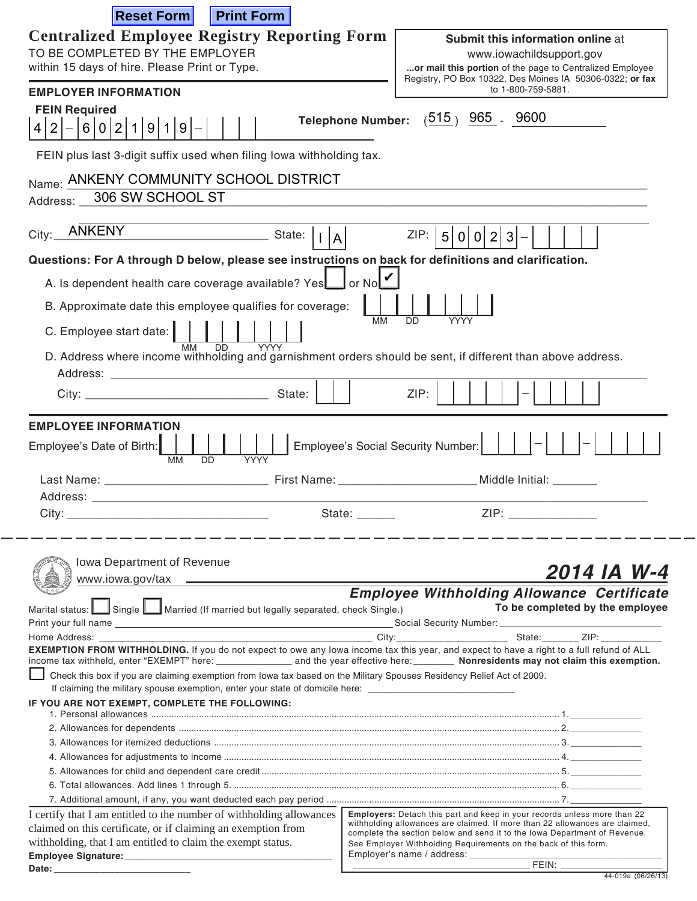| <b>Reset Form</b><br><b>Print Form</b>                                                                                                                                                                                         |                                                                                                                                              |  |  |  |  |  |  |
|--------------------------------------------------------------------------------------------------------------------------------------------------------------------------------------------------------------------------------|----------------------------------------------------------------------------------------------------------------------------------------------|--|--|--|--|--|--|
| <b>Centralized Employee Registry Reporting Form</b>                                                                                                                                                                            | Submit this information online at                                                                                                            |  |  |  |  |  |  |
| TO BE COMPLETED BY THE EMPLOYER<br>www.iowachildsupport.gov                                                                                                                                                                    |                                                                                                                                              |  |  |  |  |  |  |
| within 15 days of hire. Please Print or Type.                                                                                                                                                                                  | or mail this portion of the page to Centralized Employee                                                                                     |  |  |  |  |  |  |
|                                                                                                                                                                                                                                | Registry, PO Box 10322, Des Moines IA 50306-0322; or fax                                                                                     |  |  |  |  |  |  |
| <b>EMPLOYER INFORMATION</b>                                                                                                                                                                                                    | to 1-800-759-5881.                                                                                                                           |  |  |  |  |  |  |
| <b>FEIN Required</b>                                                                                                                                                                                                           |                                                                                                                                              |  |  |  |  |  |  |
| 6 0 2 1 9 1 9 <br> 2 <br>4                                                                                                                                                                                                     | Telephone Number: (515) 965 - 9600                                                                                                           |  |  |  |  |  |  |
|                                                                                                                                                                                                                                |                                                                                                                                              |  |  |  |  |  |  |
| FEIN plus last 3-digit suffix used when filing Iowa withholding tax.                                                                                                                                                           |                                                                                                                                              |  |  |  |  |  |  |
| Name: ANKENY COMMUNITY SCHOOL DISTRICT                                                                                                                                                                                         |                                                                                                                                              |  |  |  |  |  |  |
| 306 SW SCHOOL ST                                                                                                                                                                                                               |                                                                                                                                              |  |  |  |  |  |  |
| Address:                                                                                                                                                                                                                       |                                                                                                                                              |  |  |  |  |  |  |
|                                                                                                                                                                                                                                |                                                                                                                                              |  |  |  |  |  |  |
| City: ANKENY<br>State:       A                                                                                                                                                                                                 | ZIP:<br>5 <sup>2</sup><br>0 0 2 3                                                                                                            |  |  |  |  |  |  |
| Questions: For A through D below, please see instructions on back for definitions and clarification.                                                                                                                           |                                                                                                                                              |  |  |  |  |  |  |
|                                                                                                                                                                                                                                |                                                                                                                                              |  |  |  |  |  |  |
| A. Is dependent health care coverage available? Yes                                                                                                                                                                            | <b>J</b> or No <b>l</b>                                                                                                                      |  |  |  |  |  |  |
| B. Approximate date this employee qualifies for coverage:                                                                                                                                                                      |                                                                                                                                              |  |  |  |  |  |  |
| C. Employee start date:                                                                                                                                                                                                        | <b>MM</b><br>DD<br>YYYY                                                                                                                      |  |  |  |  |  |  |
| <b>MM</b><br>DD<br><b>YYYY</b>                                                                                                                                                                                                 |                                                                                                                                              |  |  |  |  |  |  |
| D. Address where income withholding and garnishment orders should be sent, if different than above address.                                                                                                                    |                                                                                                                                              |  |  |  |  |  |  |
|                                                                                                                                                                                                                                |                                                                                                                                              |  |  |  |  |  |  |
| State:                                                                                                                                                                                                                         | ZIP:                                                                                                                                         |  |  |  |  |  |  |
|                                                                                                                                                                                                                                |                                                                                                                                              |  |  |  |  |  |  |
| <b>EMPLOYEE INFORMATION</b>                                                                                                                                                                                                    |                                                                                                                                              |  |  |  |  |  |  |
| Employee's Date of Birth:                                                                                                                                                                                                      | Employee's Social Security Number:                                                                                                           |  |  |  |  |  |  |
| MM<br><b>YYYY</b><br>חח                                                                                                                                                                                                        |                                                                                                                                              |  |  |  |  |  |  |
|                                                                                                                                                                                                                                |                                                                                                                                              |  |  |  |  |  |  |
| Address: Analysis and the contract of the contract of the contract of the contract of the contract of the contract of the contract of the contract of the contract of the contract of the contract of the contract of the cont |                                                                                                                                              |  |  |  |  |  |  |
| State:<br>City:                                                                                                                                                                                                                | ZIP:                                                                                                                                         |  |  |  |  |  |  |
|                                                                                                                                                                                                                                |                                                                                                                                              |  |  |  |  |  |  |
|                                                                                                                                                                                                                                |                                                                                                                                              |  |  |  |  |  |  |
| Iowa Department of Revenue                                                                                                                                                                                                     |                                                                                                                                              |  |  |  |  |  |  |
|                                                                                                                                                                                                                                | 2014 IA W-4                                                                                                                                  |  |  |  |  |  |  |
|                                                                                                                                                                                                                                | <b>Employee Withholding Allowance Certificate</b>                                                                                            |  |  |  |  |  |  |
| Marital status: Single Married (If married but legally separated, check Single.)                                                                                                                                               | To be completed by the employee                                                                                                              |  |  |  |  |  |  |
|                                                                                                                                                                                                                                |                                                                                                                                              |  |  |  |  |  |  |
|                                                                                                                                                                                                                                |                                                                                                                                              |  |  |  |  |  |  |
| EXEMPTION FROM WITHHOLDING. If you do not expect to owe any lowa income tax this year, and expect to have a right to a full refund of ALL                                                                                      |                                                                                                                                              |  |  |  |  |  |  |
| Check this box if you are claiming exemption from lowa tax based on the Military Spouses Residency Relief Act of 2009.                                                                                                         |                                                                                                                                              |  |  |  |  |  |  |
| If claiming the military spouse exemption, enter your state of domicile here: ________________________________                                                                                                                 |                                                                                                                                              |  |  |  |  |  |  |
| IF YOU ARE NOT EXEMPT, COMPLETE THE FOLLOWING:                                                                                                                                                                                 |                                                                                                                                              |  |  |  |  |  |  |
|                                                                                                                                                                                                                                |                                                                                                                                              |  |  |  |  |  |  |
|                                                                                                                                                                                                                                |                                                                                                                                              |  |  |  |  |  |  |
|                                                                                                                                                                                                                                |                                                                                                                                              |  |  |  |  |  |  |
|                                                                                                                                                                                                                                |                                                                                                                                              |  |  |  |  |  |  |
|                                                                                                                                                                                                                                |                                                                                                                                              |  |  |  |  |  |  |
|                                                                                                                                                                                                                                |                                                                                                                                              |  |  |  |  |  |  |
| I certify that I am entitled to the number of withholding allowances                                                                                                                                                           | Employers: Detach this part and keep in your records unless more than 22                                                                     |  |  |  |  |  |  |
| claimed on this certificate, or if claiming an exemption from                                                                                                                                                                  | withholding allowances are claimed. If more than 22 allowances are claimed,                                                                  |  |  |  |  |  |  |
| withholding, that I am entitled to claim the exempt status.                                                                                                                                                                    | complete the section below and send it to the lowa Department of Revenue.<br>See Employer Withholding Requirements on the back of this form. |  |  |  |  |  |  |
|                                                                                                                                                                                                                                | Employer's name / address: ___________                                                                                                       |  |  |  |  |  |  |
| Date:                                                                                                                                                                                                                          | FEIN: _____________                                                                                                                          |  |  |  |  |  |  |